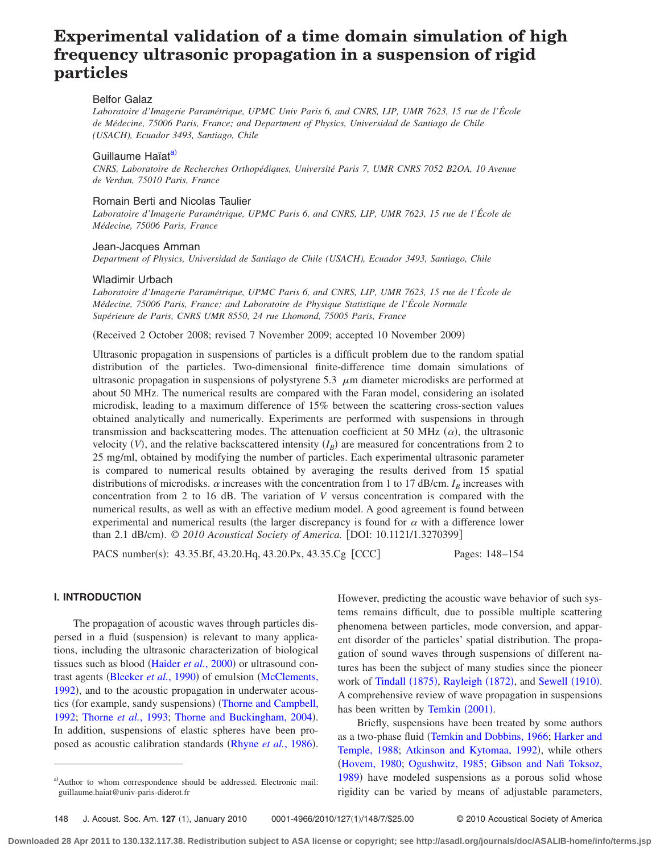# **Experimental validation of a time domain simulation of high frequency ultrasonic propagation in a suspension of rigid particles**

# Belfor Galaz

*Laboratoire d'Imagerie Paramétrique, UPMC Univ Paris 6, and CNRS, LIP, UMR 7623, 15 rue de l'École de Médecine, 75006 Paris, France; and Department of Physics, Universidad de Santiago de Chile (USACH), Ecuador 3493, Santiago, Chile*

# Guillaume Haïat<sup>a)</sup>

*CNRS, Laboratoire de Recherches Orthopédiques, Université Paris 7, UMR CNRS 7052 B2OA, 10 Avenue de Verdun, 75010 Paris, France*

## Romain Berti and Nicolas Taulier

*Laboratoire d'Imagerie Paramétrique, UPMC Paris 6, and CNRS, LIP, UMR 7623, 15 rue de l'École de Médecine, 75006 Paris, France*

## Jean-Jacques Amman

*Department of Physics, Universidad de Santiago de Chile (USACH), Ecuador 3493, Santiago, Chile*

#### Wladimir Urbach

*Laboratoire d'Imagerie Paramétrique, UPMC Paris 6, and CNRS, LIP, UMR 7623, 15 rue de l'École de Médecine, 75006 Paris, France; and Laboratoire de Physique Statistique de l'École Normale Supérieure de Paris, CNRS UMR 8550, 24 rue Lhomond, 75005 Paris, France*

(Received 2 October 2008; revised 7 November 2009; accepted 10 November 2009)

Ultrasonic propagation in suspensions of particles is a difficult problem due to the random spatial distribution of the particles. Two-dimensional finite-difference time domain simulations of ultrasonic propagation in suspensions of polystyrene 5.3  $\mu$ m diameter microdisks are performed at about 50 MHz. The numerical results are compared with the Faran model, considering an isolated microdisk, leading to a maximum difference of 15% between the scattering cross-section values obtained analytically and numerically. Experiments are performed with suspensions in through transmission and backscattering modes. The attenuation coefficient at 50 MHz  $(\alpha)$ , the ultrasonic velocity  $(V)$ , and the relative backscattered intensity  $(I_B)$  are measured for concentrations from 2 to 25 mg/ml, obtained by modifying the number of particles. Each experimental ultrasonic parameter is compared to numerical results obtained by averaging the results derived from 15 spatial distributions of microdisks.  $\alpha$  increases with the concentration from 1 to 17 dB/cm.  $I_B$  increases with concentration from 2 to 16 dB. The variation of *V* versus concentration is compared with the numerical results, as well as with an effective medium model. A good agreement is found between experimental and numerical results (the larger discrepancy is found for  $\alpha$  with a difference lower than 2.1 dB/cm). © 2010 Acoustical Society of America. [DOI: 10.1121/1.3270399]

PACS number(s): 43.35.Bf, 43.20.Hq, 43.20.Px, 43.35.Cg [CCC] Pages: 148–154

### **I. INTRODUCTION**

The propagation of acoustic waves through particles dispersed in a fluid (suspension) is relevant to many applications, including the ultrasonic characterization of biological tissues such as blood ([Haider](#page-5-0) et al., 2000) or ultrasound con-trast agents ([Bleeker](#page-5-1) et al., 1990) of emulsion ([McClements,](#page-5-2) [1992](#page-5-2)), and to the acoustic propagation in underwater acous-tics (for example, sandy suspensions) ([Thorne and Campbell,](#page-6-0) [1992;](#page-6-0) [Thorne](#page-6-1) et al., 1993; [Thorne and Buckingham, 2004](#page-6-2)). In addition, suspensions of elastic spheres have been pro-posed as acoustic calibration standards ([Rhyne](#page-6-3) et al., 1986).

However, predicting the acoustic wave behavior of such systems remains difficult, due to possible multiple scattering phenomena between particles, mode conversion, and apparent disorder of the particles' spatial distribution. The propagation of sound waves through suspensions of different natures has been the subject of many studies since the pioneer work of [Tindall](#page-6-4) (1875), [Rayleigh](#page-6-5) (1872), and [Sewell](#page-6-6) (1910). A comprehensive review of wave propagation in suspensions has been written by [Temkin](#page-6-7) (2001).

Briefly, suspensions have been treated by some authors as a two-phase fluid [Temkin and Dobbins, 1966;](#page-6-8) [Harker and](#page-5-3) [Temple, 1988;](#page-5-3) [Atkinson and Kytomaa, 1992](#page-5-4)), while others [Hovem, 1980;](#page-5-5) [Ogushwitz, 1985;](#page-6-9) [Gibson and Nafi Toksoz,](#page-5-6) [1989](#page-5-6)) have modeled suspensions as a porous solid whose rigidity can be varied by means of adjustable parameters,

<span id="page-0-0"></span>a)Author to whom correspondence should be addressed. Electronic mail: guillaume.haiat@univ-paris-diderot.fr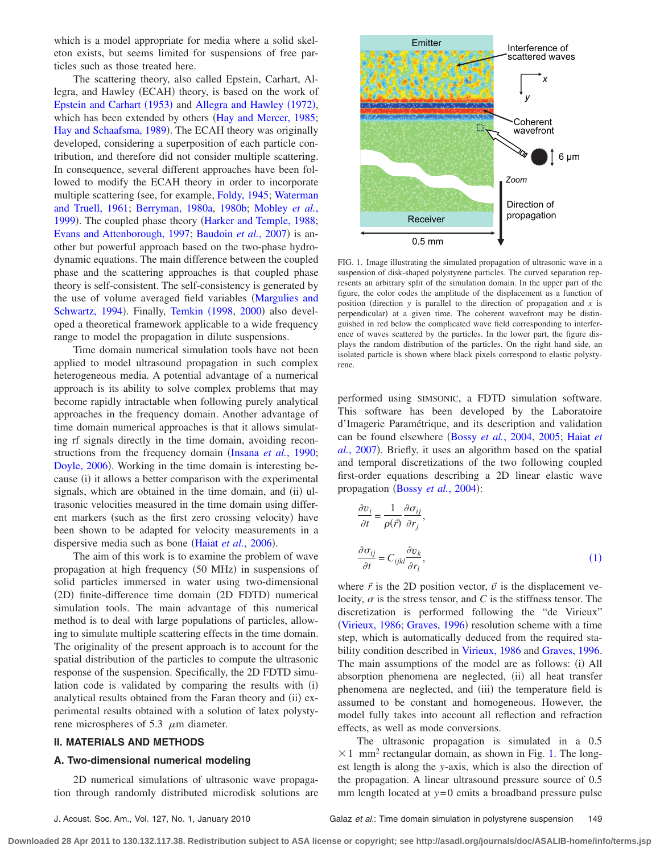which is a model appropriate for media where a solid skeleton exists, but seems limited for suspensions of free particles such as those treated here.

The scattering theory, also called Epstein, Carhart, Allegra, and Hawley (ECAH) theory, is based on the work of [Epstein and Carhart](#page-5-7) (1953) and [Allegra and Hawley](#page-5-8) (1972), which has been extended by others ([Hay and Mercer, 1985;](#page-5-9) [Hay and Schaafsma, 1989](#page-5-10)). The ECAH theory was originally developed, considering a superposition of each particle contribution, and therefore did not consider multiple scattering. In consequence, several different approaches have been followed to modify the ECAH theory in order to incorporate multiple scattering (see, for example, [Foldy, 1945;](#page-5-11) [Waterman](#page-6-10) [and Truell, 1961;](#page-6-10) [Berryman, 1980a,](#page-5-12) [1980b;](#page-5-13) [Mobley](#page-5-14) *et al.*, [1999](#page-5-14)). The coupled phase theory ([Harker and Temple, 1988;](#page-5-3) [Evans and Attenborough, 1997;](#page-5-15) [Baudoin](#page-5-16) et al., 2007) is another but powerful approach based on the two-phase hydrodynamic equations. The main difference between the coupled phase and the scattering approaches is that coupled phase theory is self-consistent. The self-consistency is generated by the use of volume averaged field variables ([Margulies and](#page-5-17) [Schwartz, 1994](#page-5-17)). Finally, [Temkin](#page-6-11) (1998, [2000](#page-6-12)) also developed a theoretical framework applicable to a wide frequency range to model the propagation in dilute suspensions.

Time domain numerical simulation tools have not been applied to model ultrasound propagation in such complex heterogeneous media. A potential advantage of a numerical approach is its ability to solve complex problems that may become rapidly intractable when following purely analytical approaches in the frequency domain. Another advantage of time domain numerical approaches is that it allows simulating rf signals directly in the time domain, avoiding reconstructions from the frequency domain (Insana *et al.*[, 1990;](#page-5-18) [Doyle, 2006](#page-5-19)). Working in the time domain is interesting because (i) it allows a better comparison with the experimental signals, which are obtained in the time domain, and (ii) ultrasonic velocities measured in the time domain using different markers (such as the first zero crossing velocity) have been shown to be adapted for velocity measurements in a dispersive media such as bone (Haiat et al.[, 2006](#page-5-20)).

The aim of this work is to examine the problem of wave propagation at high frequency (50 MHz) in suspensions of solid particles immersed in water using two-dimensional (2D) finite-difference time domain (2D FDTD) numerical simulation tools. The main advantage of this numerical method is to deal with large populations of particles, allowing to simulate multiple scattering effects in the time domain. The originality of the present approach is to account for the spatial distribution of the particles to compute the ultrasonic response of the suspension. Specifically, the 2D FDTD simulation code is validated by comparing the results with (i) analytical results obtained from the Faran theory and (ii) experimental results obtained with a solution of latex polystyrene microspheres of 5.3  $\mu$ m diameter.

## **II. MATERIALS AND METHODS**

#### **A. Two-dimensional numerical modeling**

2D numerical simulations of ultrasonic wave propagation through randomly distributed microdisk solutions are

<span id="page-1-1"></span>

FIG. 1. Image illustrating the simulated propagation of ultrasonic wave in a suspension of disk-shaped polystyrene particles. The curved separation represents an arbitrary split of the simulation domain. In the upper part of the figure, the color codes the amplitude of the displacement as a function of position (direction  $y$  is parallel to the direction of propagation and  $x$  is perpendicular) at a given time. The coherent wavefront may be distinguished in red below the complicated wave field corresponding to interference of waves scattered by the particles. In the lower part, the figure displays the random distribution of the particles. On the right hand side, an isolated particle is shown where black pixels correspond to elastic polystyrene.

performed using SIMSONIC, a FDTD simulation software. This software has been developed by the Laboratoire d'Imagerie Paramétrique, and its description and validation can be found elsewhere Bossy *et al.*[, 2004,](#page-5-21) [2005;](#page-5-22) [Haiat](#page-5-23) *et* al.[, 2007](#page-5-23)). Briefly, it uses an algorithm based on the spatial and temporal discretizations of the two following coupled first-order equations describing a 2D linear elastic wave propagation (Bossy et al.[, 2004](#page-5-21)):

<span id="page-1-0"></span>
$$
\frac{\partial v_i}{\partial t} = \frac{1}{\rho(\vec{r})} \frac{\partial \sigma_{ij}}{\partial r_j},
$$
  

$$
\frac{\partial \sigma_{ij}}{\partial t} = C_{ijkl} \frac{\partial v_k}{\partial r_l},
$$
 (1)

where  $\vec{r}$  is the 2D position vector,  $\vec{v}$  is the displacement velocity,  $\sigma$  is the stress tensor, and *C* is the stiffness tensor. The discretization is performed following the "de Virieux" ([Virieux, 1986;](#page-6-13) [Graves, 1996](#page-5-24)) resolution scheme with a time step, which is automatically deduced from the required stability condition described in [Virieux, 1986](#page-6-13) and [Graves, 1996.](#page-5-24) The main assumptions of the model are as follows: (i) All absorption phenomena are neglected, (ii) all heat transfer phenomena are neglected, and (iii) the temperature field is assumed to be constant and homogeneous. However, the model fully takes into account all reflection and refraction effects, as well as mode conversions.

The ultrasonic propagation is simulated in a 0.5  $\times$  1 mm<sup>2</sup> rectangular domain, as shown in Fig. [1.](#page-1-1) The longest length is along the *y*-axis, which is also the direction of the propagation. A linear ultrasound pressure source of 0.5 mm length located at *y*=0 emits a broadband pressure pulse

**Downloaded 28 Apr 2011 to 130.132.117.38. Redistribution subject to ASA license or copyright; see http://asadl.org/journals/doc/ASALIB-home/info/terms.jsp**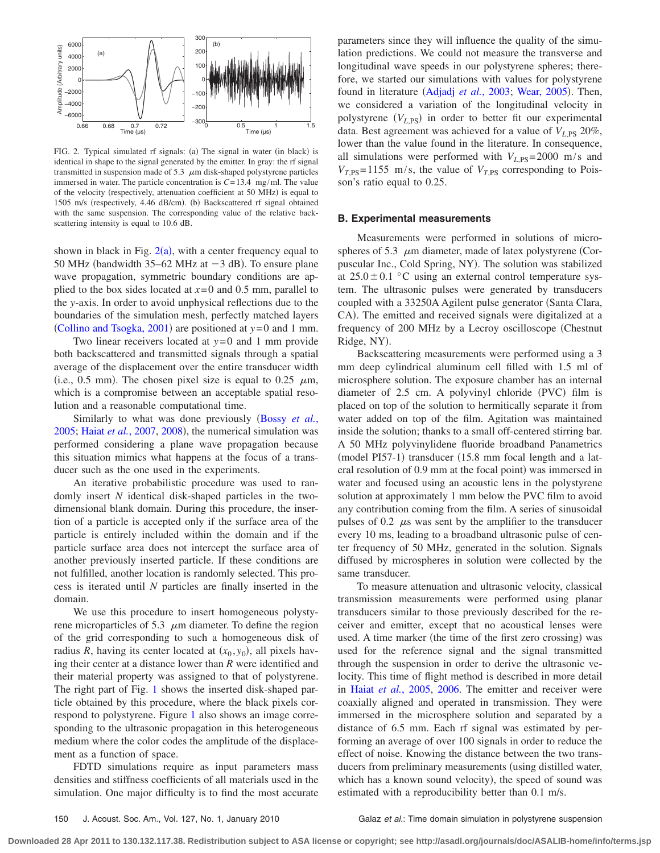<span id="page-2-0"></span>

FIG. 2. Typical simulated rf signals: (a) The signal in water (in black) is identical in shape to the signal generated by the emitter. In gray: the rf signal transmitted in suspension made of 5.3  $\mu$ m disk-shaped polystyrene particles immersed in water. The particle concentration is  $C = 13.4$  mg/ml. The value of the velocity (respectively, attenuation coefficient at 50 MHz) is equal to 1505 m/s (respectively, 4.46 dB/cm). (b) Backscattered rf signal obtained with the same suspension. The corresponding value of the relative backscattering intensity is equal to 10.6 dB.

shown in black in Fig.  $2(a)$  $2(a)$ , with a center frequency equal to 50 MHz (bandwidth  $35-62$  MHz at  $-3$  dB). To ensure plane wave propagation, symmetric boundary conditions are applied to the box sides located at  $x=0$  and 0.5 mm, parallel to the *y*-axis. In order to avoid unphysical reflections due to the boundaries of the simulation mesh, perfectly matched layers (Collino and Tsogka,  $2001$ ) are positioned at  $y=0$  and 1 mm.

Two linear receivers located at *y*= 0 and 1 mm provide both backscattered and transmitted signals through a spatial average of the displacement over the entire transducer width (i.e., 0.5 mm). The chosen pixel size is equal to 0.25  $\mu$ m, which is a compromise between an acceptable spatial resolution and a reasonable computational time.

Similarly to what was done previously ([Bossy](#page-5-22) *et al.*, [2005;](#page-5-22) Haiat et al.[, 2007,](#page-5-23) [2008](#page-5-26)), the numerical simulation was performed considering a plane wave propagation because this situation mimics what happens at the focus of a transducer such as the one used in the experiments.

An iterative probabilistic procedure was used to randomly insert *N* identical disk-shaped particles in the twodimensional blank domain. During this procedure, the insertion of a particle is accepted only if the surface area of the particle is entirely included within the domain and if the particle surface area does not intercept the surface area of another previously inserted particle. If these conditions are not fulfilled, another location is randomly selected. This process is iterated until *N* particles are finally inserted in the domain.

We use this procedure to insert homogeneous polystyrene microparticles of 5.3  $\mu$ m diameter. To define the region of the grid corresponding to such a homogeneous disk of radius *R*, having its center located at  $(x_0, y_0)$ , all pixels having their center at a distance lower than *R* were identified and their material property was assigned to that of polystyrene. The right part of Fig. [1](#page-1-1) shows the inserted disk-shaped particle obtained by this procedure, where the black pixels correspond to polystyrene. Figure [1](#page-1-1) also shows an image corresponding to the ultrasonic propagation in this heterogeneous medium where the color codes the amplitude of the displacement as a function of space.

FDTD simulations require as input parameters mass densities and stiffness coefficients of all materials used in the simulation. One major difficulty is to find the most accurate parameters since they will influence the quality of the simulation predictions. We could not measure the transverse and longitudinal wave speeds in our polystyrene spheres; therefore, we started our simulations with values for polystyrene found in literature ([Adjadj](#page-5-27) et al., 2003; [Wear, 2005](#page-6-14)). Then, we considered a variation of the longitudinal velocity in polystyrene (V<sub>L,PS</sub>) in order to better fit our experimental data. Best agreement was achieved for a value of  $V_{LPS}$  20%, lower than the value found in the literature. In consequence, all simulations were performed with  $V_{L,PS}$ = 2000 m/s and  $V_{T,PS}$ = 1155 m/s, the value of  $V_{T,PS}$  corresponding to Poisson's ratio equal to 0.25.

### **B. Experimental measurements**

Measurements were performed in solutions of microspheres of 5.3  $\mu$ m diameter, made of latex polystyrene (Corpuscular Inc., Cold Spring, NY). The solution was stabilized at  $25.0 \pm 0.1$  °C using an external control temperature system. The ultrasonic pulses were generated by transducers coupled with a 33250A Agilent pulse generator (Santa Clara, CA). The emitted and received signals were digitalized at a frequency of 200 MHz by a Lecroy oscilloscope Chestnut Ridge, NY).

Backscattering measurements were performed using a 3 mm deep cylindrical aluminum cell filled with 1.5 ml of microsphere solution. The exposure chamber has an internal diameter of 2.5 cm. A polyvinyl chloride (PVC) film is placed on top of the solution to hermitically separate it from water added on top of the film. Agitation was maintained inside the solution; thanks to a small off-centered stirring bar. A 50 MHz polyvinylidene fluoride broadband Panametrics (model PI57-1) transducer (15.8 mm focal length and a lateral resolution of 0.9 mm at the focal point) was immersed in water and focused using an acoustic lens in the polystyrene solution at approximately 1 mm below the PVC film to avoid any contribution coming from the film. A series of sinusoidal pulses of 0.2  $\mu$ s was sent by the amplifier to the transducer every 10 ms, leading to a broadband ultrasonic pulse of center frequency of 50 MHz, generated in the solution. Signals diffused by microspheres in solution were collected by the same transducer.

To measure attenuation and ultrasonic velocity, classical transmission measurements were performed using planar transducers similar to those previously described for the receiver and emitter, except that no acoustical lenses were used. A time marker (the time of the first zero crossing) was used for the reference signal and the signal transmitted through the suspension in order to derive the ultrasonic velocity. This time of flight method is described in more detail in Haiat *et al.*[, 2005,](#page-5-28) [2006.](#page-5-20) The emitter and receiver were coaxially aligned and operated in transmission. They were immersed in the microsphere solution and separated by a distance of 6.5 mm. Each rf signal was estimated by performing an average of over 100 signals in order to reduce the effect of noise. Knowing the distance between the two transducers from preliminary measurements (using distilled water, which has a known sound velocity), the speed of sound was estimated with a reproducibility better than 0.1 m/s.

150 J. Acoust. Soc. Am., Vol. 127, No. 1, January 2010 Galaz *et al.*: Time domain simulation in polystyrene suspension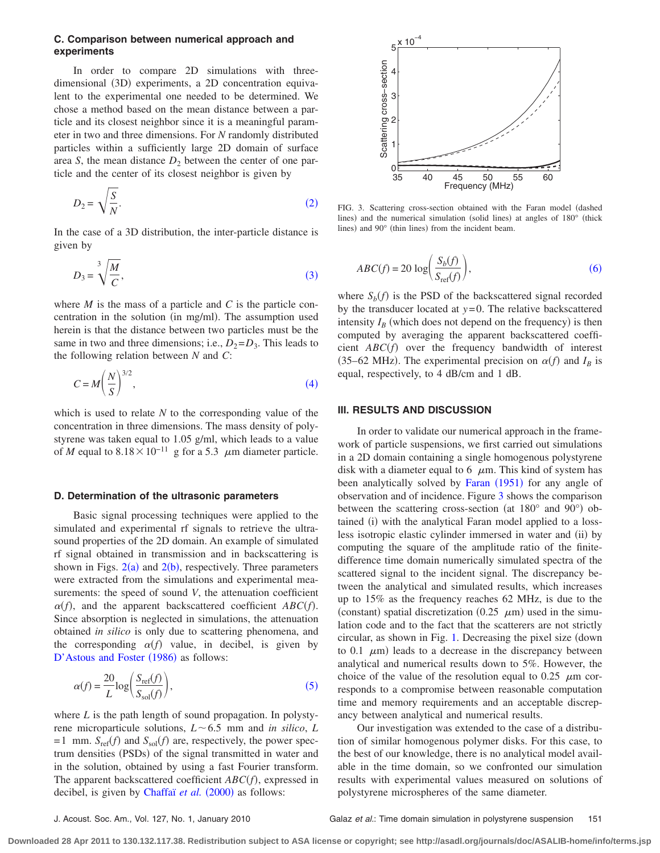## **C. Comparison between numerical approach and experiments**

In order to compare 2D simulations with threedimensional (3D) experiments, a 2D concentration equivalent to the experimental one needed to be determined. We chose a method based on the mean distance between a particle and its closest neighbor since it is a meaningful parameter in two and three dimensions. For *N* randomly distributed particles within a sufficiently large 2D domain of surface area *S*, the mean distance  $D_2$  between the center of one particle and the center of its closest neighbor is given by

<span id="page-3-0"></span>
$$
D_2 = \sqrt{\frac{S}{N}}.\t(2)
$$

In the case of a 3D distribution, the inter-particle distance is given by

<span id="page-3-1"></span>
$$
D_3 = \sqrt[3]{\frac{M}{C}},\tag{3}
$$

where *M* is the mass of a particle and *C* is the particle concentration in the solution (in mg/ml). The assumption used herein is that the distance between two particles must be the same in two and three dimensions; i.e.,  $D_2 = D_3$ . This leads to the following relation between *N* and *C*:

<span id="page-3-2"></span>
$$
C = M \left(\frac{N}{S}\right)^{3/2},\tag{4}
$$

which is used to relate *N* to the corresponding value of the concentration in three dimensions. The mass density of polystyrene was taken equal to 1.05 g/ml, which leads to a value of *M* equal to  $8.18 \times 10^{-11}$  g for a 5.3  $\mu$ m diameter particle.

## **D. Determination of the ultrasonic parameters**

Basic signal processing techniques were applied to the simulated and experimental rf signals to retrieve the ultrasound properties of the 2D domain. An example of simulated rf signal obtained in transmission and in backscattering is shown in Figs.  $2(a)$  $2(a)$  and  $2(b)$ , respectively. Three parameters were extracted from the simulations and experimental measurements: the speed of sound *V*, the attenuation coefficient  $\alpha(f)$ , and the apparent backscattered coefficient  $ABC(f)$ . Since absorption is neglected in simulations, the attenuation obtained *in silico* is only due to scattering phenomena, and the corresponding  $\alpha(f)$  value, in decibel, is given by [D'Astous and Foster](#page-5-29) (1986) as follows:

<span id="page-3-3"></span>
$$
\alpha(f) = \frac{20}{L} \log \left( \frac{S_{\text{ref}}(f)}{S_{\text{sol}}(f)} \right),\tag{5}
$$

where *L* is the path length of sound propagation. In polystyrene microparticule solutions,  $L \sim 6.5$  mm and *in silico*, *L*  $= 1$  mm.  $S_{\text{ref}}(f)$  and  $S_{\text{sol}}(f)$  are, respectively, the power spectrum densities (PSDs) of the signal transmitted in water and in the solution, obtained by using a fast Fourier transform. The apparent backscattered coefficient  $ABC(f)$ , expressed in decibel, is given by [Chaffaï](#page-5-30) et al. (2000) as follows:

<span id="page-3-5"></span>

FIG. 3. Scattering cross-section obtained with the Faran model dashed lines) and the numerical simulation (solid lines) at angles of 180° (thick lines) and 90° (thin lines) from the incident beam.

<span id="page-3-4"></span>
$$
ABC(f) = 20 \log \left( \frac{S_b(f)}{S_{\text{ref}}(f)} \right),\tag{6}
$$

where  $S_b(f)$  is the PSD of the backscattered signal recorded by the transducer located at *y*= 0. The relative backscattered intensity  $I_B$  (which does not depend on the frequency) is then computed by averaging the apparent backscattered coefficient  $ABC(f)$  over the frequency bandwidth of interest (35–62 MHz). The experimental precision on  $\alpha(f)$  and  $I_B$  is equal, respectively, to 4 dB/cm and 1 dB.

## **III. RESULTS AND DISCUSSION**

In order to validate our numerical approach in the framework of particle suspensions, we first carried out simulations in a 2D domain containing a single homogenous polystyrene disk with a diameter equal to 6  $\mu$ m. This kind of system has been analytically solved by [Faran](#page-5-31) (1951) for any angle of observation and of incidence. Figure [3](#page-3-5) shows the comparison between the scattering cross-section (at  $180^\circ$  and  $90^\circ$ ) obtained (i) with the analytical Faran model applied to a lossless isotropic elastic cylinder immersed in water and (ii) by computing the square of the amplitude ratio of the finitedifference time domain numerically simulated spectra of the scattered signal to the incident signal. The discrepancy between the analytical and simulated results, which increases up to 15% as the frequency reaches 62 MHz, is due to the (constant) spatial discretization (0.25  $\mu$ m) used in the simulation code and to the fact that the scatterers are not strictly circular, as shown in Fig. [1.](#page-1-1) Decreasing the pixel size (down to 0.1  $\mu$ m) leads to a decrease in the discrepancy between analytical and numerical results down to 5%. However, the choice of the value of the resolution equal to 0.25  $\mu$ m corresponds to a compromise between reasonable computation time and memory requirements and an acceptable discrepancy between analytical and numerical results.

Our investigation was extended to the case of a distribution of similar homogenous polymer disks. For this case, to the best of our knowledge, there is no analytical model available in the time domain, so we confronted our simulation results with experimental values measured on solutions of polystyrene microspheres of the same diameter.

**Downloaded 28 Apr 2011 to 130.132.117.38. Redistribution subject to ASA license or copyright; see http://asadl.org/journals/doc/ASALIB-home/info/terms.jsp**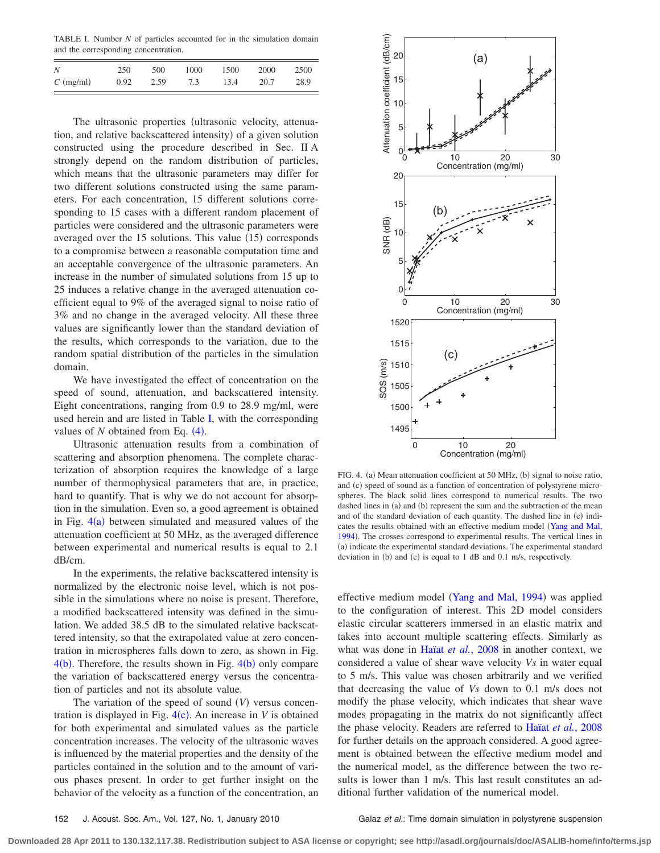<span id="page-4-0"></span>TABLE I. Number *N* of particles accounted for in the simulation domain and the corresponding concentration.

| N                   | 250  | 500  | 1000 | 1500 | 2000 | 2500 |
|---------------------|------|------|------|------|------|------|
| $C \text{ (mg/ml)}$ | 0.92 | 2.59 | 7.3  | 13.4 | 20.7 | 28.9 |

The ultrasonic properties (ultrasonic velocity, attenuation, and relative backscattered intensity) of a given solution constructed using the procedure described in Sec. II A strongly depend on the random distribution of particles, which means that the ultrasonic parameters may differ for two different solutions constructed using the same parameters. For each concentration, 15 different solutions corresponding to 15 cases with a different random placement of particles were considered and the ultrasonic parameters were averaged over the 15 solutions. This value (15) corresponds to a compromise between a reasonable computation time and an acceptable convergence of the ultrasonic parameters. An increase in the number of simulated solutions from 15 up to 25 induces a relative change in the averaged attenuation coefficient equal to 9% of the averaged signal to noise ratio of 3% and no change in the averaged velocity. All these three values are significantly lower than the standard deviation of the results, which corresponds to the variation, due to the random spatial distribution of the particles in the simulation domain.

We have investigated the effect of concentration on the speed of sound, attenuation, and backscattered intensity. Eight concentrations, ranging from 0.9 to 28.9 mg/ml, were used herein and are listed in Table [I,](#page-4-0) with the corresponding values of  $N$  obtained from Eq.  $(4)$  $(4)$  $(4)$ .

Ultrasonic attenuation results from a combination of scattering and absorption phenomena. The complete characterization of absorption requires the knowledge of a large number of thermophysical parameters that are, in practice, hard to quantify. That is why we do not account for absorption in the simulation. Even so, a good agreement is obtained in Fig.  $4(a)$  $4(a)$  between simulated and measured values of the attenuation coefficient at 50 MHz, as the averaged difference between experimental and numerical results is equal to 2.1 dB/cm.

In the experiments, the relative backscattered intensity is normalized by the electronic noise level, which is not possible in the simulations where no noise is present. Therefore, a modified backscattered intensity was defined in the simulation. We added 38.5 dB to the simulated relative backscattered intensity, so that the extrapolated value at zero concentration in microspheres falls down to zero, as shown in Fig.  $4(b)$  $4(b)$ . Therefore, the results shown in Fig.  $4(b)$  only compare the variation of backscattered energy versus the concentration of particles and not its absolute value.

The variation of the speed of sound  $(V)$  versus concentration is displayed in Fig.  $4(c)$  $4(c)$ . An increase in *V* is obtained for both experimental and simulated values as the particle concentration increases. The velocity of the ultrasonic waves is influenced by the material properties and the density of the particles contained in the solution and to the amount of various phases present. In order to get further insight on the behavior of the velocity as a function of the concentration, an

<span id="page-4-1"></span>

FIG. 4. (a) Mean attenuation coefficient at 50 MHz, (b) signal to noise ratio, and (c) speed of sound as a function of concentration of polystyrene microspheres. The black solid lines correspond to numerical results. The two dashed lines in (a) and (b) represent the sum and the subtraction of the mean and of the standard deviation of each quantity. The dashed line in (c) indi-cates the results obtained with an effective medium model ([Yang and Mal,](#page-6-15) [1994](#page-6-15)). The crosses correspond to experimental results. The vertical lines in (a) indicate the experimental standard deviations. The experimental standard deviation in (b) and (c) is equal to  $1$  dB and  $0.1$  m/s, respectively.

effective medium model ([Yang and Mal, 1994](#page-6-15)) was applied to the configuration of interest. This 2D model considers elastic circular scatterers immersed in an elastic matrix and takes into account multiple scattering effects. Similarly as what was done in Haïat *et al.*[, 2008](#page-5-26) in another context, we considered a value of shear wave velocity *Vs* in water equal to 5 m/s. This value was chosen arbitrarily and we verified that decreasing the value of *Vs* down to 0.1 m/s does not modify the phase velocity, which indicates that shear wave modes propagating in the matrix do not significantly affect the phase velocity. Readers are referred to Haïat *et al.*[, 2008](#page-5-26) for further details on the approach considered. A good agreement is obtained between the effective medium model and the numerical model, as the difference between the two results is lower than 1 m/s. This last result constitutes an additional further validation of the numerical model.

152 J. Acoust. Soc. Am., Vol. 127, No. 1, January 2010 Galaz *et al.*: Time domain simulation in polystyrene suspension

**Downloaded 28 Apr 2011 to 130.132.117.38. Redistribution subject to ASA license or copyright; see http://asadl.org/journals/doc/ASALIB-home/info/terms.jsp**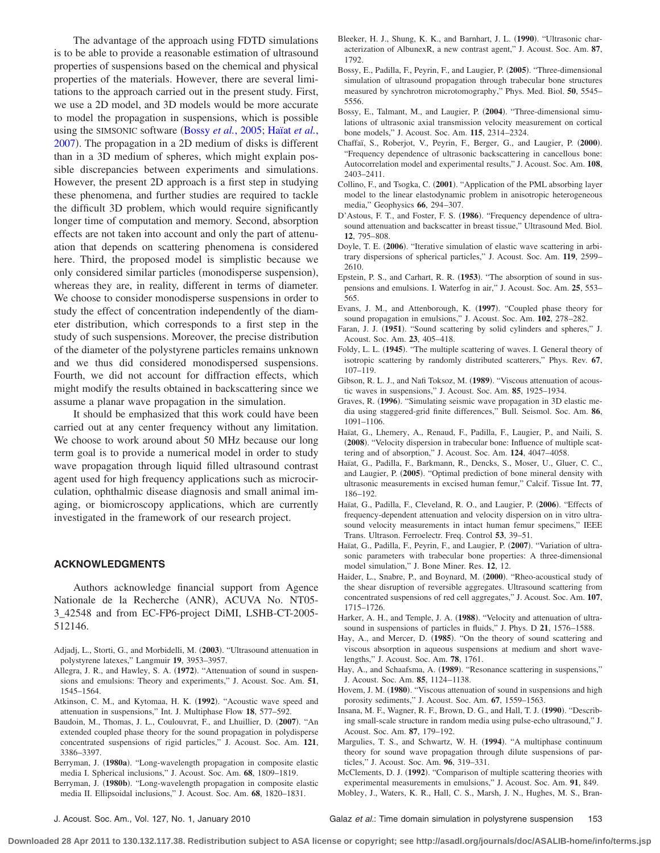The advantage of the approach using FDTD simulations is to be able to provide a reasonable estimation of ultrasound properties of suspensions based on the chemical and physical properties of the materials. However, there are several limitations to the approach carried out in the present study. First, we use a 2D model, and 3D models would be more accurate to model the propagation in suspensions, which is possible using the SIMSONIC software (Bossy *et al.*[, 2005;](#page-5-22) [Haïat](#page-5-23) *et al.*, [2007](#page-5-23)). The propagation in a 2D medium of disks is different than in a 3D medium of spheres, which might explain possible discrepancies between experiments and simulations. However, the present 2D approach is a first step in studying these phenomena, and further studies are required to tackle the difficult 3D problem, which would require significantly longer time of computation and memory. Second, absorption effects are not taken into account and only the part of attenuation that depends on scattering phenomena is considered here. Third, the proposed model is simplistic because we only considered similar particles (monodisperse suspension), whereas they are, in reality, different in terms of diameter. We choose to consider monodisperse suspensions in order to study the effect of concentration independently of the diameter distribution, which corresponds to a first step in the study of such suspensions. Moreover, the precise distribution of the diameter of the polystyrene particles remains unknown and we thus did considered monodispersed suspensions. Fourth, we did not account for diffraction effects, which might modify the results obtained in backscattering since we assume a planar wave propagation in the simulation.

It should be emphasized that this work could have been carried out at any center frequency without any limitation. We choose to work around about 50 MHz because our long term goal is to provide a numerical model in order to study wave propagation through liquid filled ultrasound contrast agent used for high frequency applications such as microcirculation, ophthalmic disease diagnosis and small animal imaging, or biomicroscopy applications, which are currently investigated in the framework of our research project.

## **ACKNOWLEDGMENTS**

Authors acknowledge financial support from Agence Nationale de la Recherche (ANR), ACUVA No. NT05-3\_42548 and from EC-FP6-project DiMI, LSHB-CT-2005- 512146.

- <span id="page-5-27"></span>Adjadj, L., Storti, G., and Morbidelli, M. (2003). "Ultrasound attenuation in polystyrene latexes," Langmuir **19**, 3953–3957.
- <span id="page-5-8"></span>Allegra, J. R., and Hawley, S. A. (1972). "Attenuation of sound in suspensions and emulsions: Theory and experiments," J. Acoust. Soc. Am. **51**, 1545–1564.
- <span id="page-5-4"></span>Atkinson, C. M., and Kytomaa, H. K. (1992). "Acoustic wave speed and attenuation in suspensions," Int. J. Multiphase Flow **18**, 577–592.
- <span id="page-5-16"></span>Baudoin, M., Thomas, J. L., Coulouvrat, F., and Lhuillier, D. (2007). "An extended coupled phase theory for the sound propagation in polydisperse concentrated suspensions of rigid particles," J. Acoust. Soc. Am. **121**, 3386–3397.
- <span id="page-5-12"></span>Berryman, J. (1980a). "Long-wavelength propagation in composite elastic media I. Spherical inclusions," J. Acoust. Soc. Am. **68**, 1809–1819.
- <span id="page-5-13"></span>Berryman, J. (1980b). "Long-wavelength propagation in composite elastic media II. Ellipsoidal inclusions," J. Acoust. Soc. Am. **68**, 1820–1831.
- <span id="page-5-1"></span>Bleeker, H. J., Shung, K. K., and Barnhart, J. L. (1990). "Ultrasonic characterization of AlbunexR, a new contrast agent," J. Acoust. Soc. Am. **87**, 1792.
- <span id="page-5-22"></span>Bossy, E., Padilla, F., Peyrin, F., and Laugier, P. (2005). "Three-dimensional simulation of ultrasound propagation through trabecular bone structures measured by synchrotron microtomography," Phys. Med. Biol. **50**, 5545– 5556.
- <span id="page-5-21"></span>Bossy, E., Talmant, M., and Laugier, P. (2004). "Three-dimensional simulations of ultrasonic axial transmission velocity measurement on cortical bone models," J. Acoust. Soc. Am. **115**, 2314–2324.
- <span id="page-5-30"></span>Chaffaï, S., Roberjot, V., Peyrin, F., Berger, G., and Laugier, P. (2000). "Frequency dependence of ultrasonic backscattering in cancellous bone: Autocorrelation model and experimental results," J. Acoust. Soc. Am. **108**, 2403–2411.
- <span id="page-5-25"></span>Collino, F., and Tsogka, C. (2001). "Application of the PML absorbing layer model to the linear elastodynamic problem in anisotropic heterogeneous media," Geophysics **66**, 294–307.
- <span id="page-5-29"></span>D'Astous, F. T., and Foster, F. S. (1986). "Frequency dependence of ultrasound attenuation and backscatter in breast tissue," Ultrasound Med. Biol. **12**, 795–808.
- <span id="page-5-19"></span>Doyle, T. E. (2006). "Iterative simulation of elastic wave scattering in arbitrary dispersions of spherical particles," J. Acoust. Soc. Am. **119**, 2599– 2610.
- <span id="page-5-7"></span>Epstein, P. S., and Carhart, R. R. (1953). "The absorption of sound in suspensions and emulsions. I. Waterfog in air," J. Acoust. Soc. Am. **25**, 553– 565.
- <span id="page-5-15"></span>Evans, J. M., and Attenborough, K. (1997). "Coupled phase theory for sound propagation in emulsions," J. Acoust. Soc. Am. **102**, 278–282.
- <span id="page-5-31"></span>Faran, J. J. (1951). "Sound scattering by solid cylinders and spheres," J. Acoust. Soc. Am. **23**, 405–418.
- <span id="page-5-11"></span>Foldy, L. L. (1945). "The multiple scattering of waves. I. General theory of isotropic scattering by randomly distributed scatterers," Phys. Rev. **67**, 107–119.
- <span id="page-5-6"></span>Gibson, R. L. J., and Nafi Toksoz, M. (1989). "Viscous attenuation of acoustic waves in suspensions," J. Acoust. Soc. Am. **85**, 1925–1934.
- <span id="page-5-24"></span>Graves, R. (1996). "Simulating seismic wave propagation in 3D elastic media using staggered-grid finite differences," Bull. Seismol. Soc. Am. **86**, 1091–1106.
- <span id="page-5-26"></span>Haïat, G., Lhemery, A., Renaud, F., Padilla, F., Laugier, P., and Naili, S. (2008). "Velocity dispersion in trabecular bone: Influence of multiple scattering and of absorption," J. Acoust. Soc. Am. **124**, 4047–4058.
- <span id="page-5-28"></span>Haïat, G., Padilla, F., Barkmann, R., Dencks, S., Moser, U., Gluer, C. C., and Laugier, P. (2005). "Optimal prediction of bone mineral density with ultrasonic measurements in excised human femur," Calcif. Tissue Int. **77**, 186–192.
- <span id="page-5-20"></span>Haïat, G., Padilla, F., Cleveland, R. O., and Laugier, P. (2006). "Effects of frequency-dependent attenuation and velocity dispersion on in vitro ultrasound velocity measurements in intact human femur specimens," IEEE Trans. Ultrason. Ferroelectr. Freq. Control **53**, 39–51.
- <span id="page-5-23"></span>Haïat, G., Padilla, F., Peyrin, F., and Laugier, P. (2007). "Variation of ultrasonic parameters with trabecular bone properties: A three-dimensional model simulation," J. Bone Miner. Res. **12**, 12.
- <span id="page-5-0"></span>Haider, L., Snabre, P., and Boynard, M. (2000). "Rheo-acoustical study of the shear disruption of reversible aggregates. Ultrasound scattering from concentrated suspensions of red cell aggregates," J. Acoust. Soc. Am. **107**, 1715–1726.
- <span id="page-5-3"></span>Harker, A. H., and Temple, J. A. (1988). "Velocity and attenuation of ultrasound in suspensions of particles in fluids," J. Phys. D **21**, 1576–1588.
- <span id="page-5-9"></span>Hay, A., and Mercer, D. (1985). "On the theory of sound scattering and viscous absorption in aqueous suspensions at medium and short wavelengths," J. Acoust. Soc. Am. **78**, 1761.
- <span id="page-5-10"></span>Hay, A., and Schaafsma, A. (1989). "Resonance scattering in suspensions," J. Acoust. Soc. Am. **85**, 1124–1138.
- <span id="page-5-5"></span>Hovem, J. M. (1980). "Viscous attenuation of sound in suspensions and high porosity sediments," J. Acoust. Soc. Am. **67**, 1559–1563.
- <span id="page-5-18"></span>Insana, M. F., Wagner, R. F., Brown, D. G., and Hall, T. J. (1990). "Describing small-scale structure in random media using pulse-echo ultrasound," J. Acoust. Soc. Am. **87**, 179–192.
- <span id="page-5-17"></span>Margulies, T. S., and Schwartz, W. H. (1994). "A multiphase continuum theory for sound wave propagation through dilute suspensions of particles," J. Acoust. Soc. Am. **96**, 319–331.
- <span id="page-5-14"></span><span id="page-5-2"></span>McClements, D. J. (1992). "Comparison of multiple scattering theories with experimental measurements in emulsions," J. Acoust. Soc. Am. **91**, 849. Mobley, J., Waters, K. R., Hall, C. S., Marsh, J. N., Hughes, M. S., Bran-

J. Acoust. Soc. Am., Vol. 127, No. 1, January 2010 Galaz *et al.*: Time domain simulation in polystyrene suspension 153

**Downloaded 28 Apr 2011 to 130.132.117.38. Redistribution subject to ASA license or copyright; see http://asadl.org/journals/doc/ASALIB-home/info/terms.jsp**